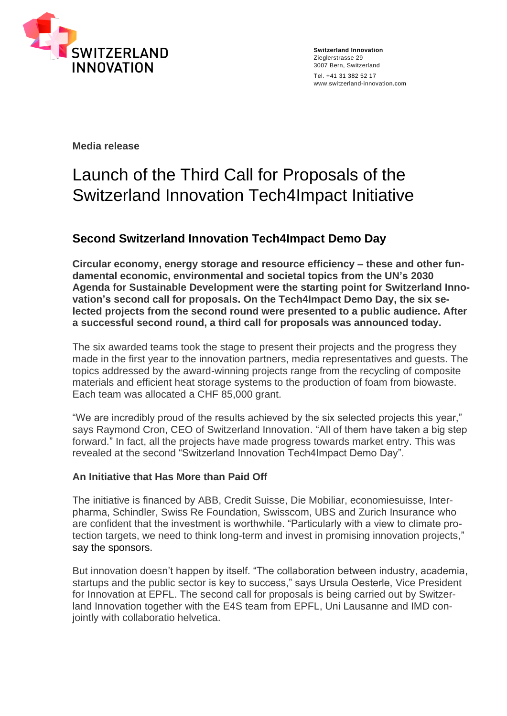

**Switzerland Innovation** Zieglerstrasse 29 3007 Bern, Switzerland Tel. +41 31 382 52 17 www.switzerland-innovation.com

**Media release**

# Launch of the Third Call for Proposals of the Switzerland Innovation Tech4Impact Initiative

## **Second Switzerland Innovation Tech4Impact Demo Day**

**Circular economy, energy storage and resource efficiency – these and other fundamental economic, environmental and societal topics from the UN's 2030 Agenda for Sustainable Development were the starting point for Switzerland Innovation's second call for proposals. On the Tech4Impact Demo Day, the six selected projects from the second round were presented to a public audience. After a successful second round, a third call for proposals was announced today.**

The six awarded teams took the stage to present their projects and the progress they made in the first year to the innovation partners, media representatives and guests. The topics addressed by the award-winning projects range from the recycling of composite materials and efficient heat storage systems to the production of foam from biowaste. Each team was allocated a CHF 85,000 grant.

"We are incredibly proud of the results achieved by the six selected projects this year," says Raymond Cron, CEO of Switzerland Innovation. "All of them have taken a big step forward." In fact, all the projects have made progress towards market entry. This was revealed at the second "Switzerland Innovation Tech4Impact Demo Day".

### **An Initiative that Has More than Paid Off**

The initiative is financed by ABB, Credit Suisse, Die Mobiliar, economiesuisse, Interpharma, Schindler, Swiss Re Foundation, Swisscom, UBS and Zurich Insurance who are confident that the investment is worthwhile. "Particularly with a view to climate protection targets, we need to think long-term and invest in promising innovation projects," say the sponsors.

But innovation doesn't happen by itself. "The collaboration between industry, academia, startups and the public sector is key to success," says Ursula Oesterle, Vice President for Innovation at EPFL. The second call for proposals is being carried out by Switzerland Innovation together with the E4S team from EPFL, Uni Lausanne and IMD conjointly with collaboratio helvetica.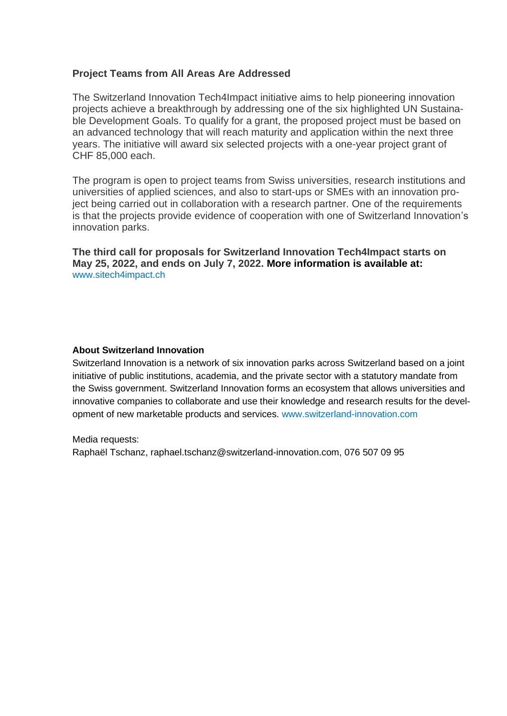### **Project Teams from All Areas Are Addressed**

The Switzerland Innovation Tech4Impact initiative aims to help pioneering innovation projects achieve a breakthrough by addressing one of the six highlighted UN Sustainable Development Goals. To qualify for a grant, the proposed project must be based on an advanced technology that will reach maturity and application within the next three years. The initiative will award six selected projects with a one-year project grant of CHF 85,000 each.

The program is open to project teams from Swiss universities, research institutions and universities of applied sciences, and also to start-ups or SMEs with an innovation project being carried out in collaboration with a research partner. One of the requirements is that the projects provide evidence of cooperation with one of Switzerland Innovation's innovation parks.

**The third call for proposals for Switzerland Innovation Tech4Impact starts on May 25, 2022, and ends on July 7, 2022. More information is available at:** [www.sitech4impact.ch](http://www.sitech4impact.ch/)

#### **About Switzerland Innovation**

Switzerland Innovation is a network of six innovation parks across Switzerland based on a joint initiative of public institutions, academia, and the private sector with a statutory mandate from the Swiss government. Switzerland Innovation forms an ecosystem that allows universities and innovative companies to collaborate and use their knowledge and research results for the development of new marketable products and services. [www.switzerland-innovation.com](file:///C:/Users/Raphael%20Tschanz/AppData/Local/Microsoft/Windows/INetCache/Content.Outlook/www.switzerland-innovation.com)

Media requests:

Raphaël Tschanz, raphael.tschanz@switzerland-innovation.com, 076 507 09 95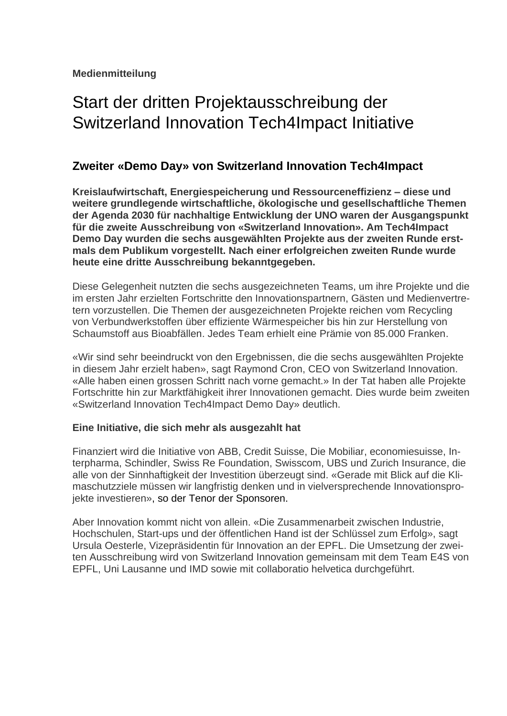# Start der dritten Projektausschreibung der Switzerland Innovation Tech4Impact Initiative

## **Zweiter «Demo Day» von Switzerland Innovation Tech4Impact**

**Kreislaufwirtschaft, Energiespeicherung und Ressourceneffizienz – diese und weitere grundlegende wirtschaftliche, ökologische und gesellschaftliche Themen der Agenda 2030 für nachhaltige Entwicklung der UNO waren der Ausgangspunkt für die zweite Ausschreibung von «Switzerland Innovation». Am Tech4Impact Demo Day wurden die sechs ausgewählten Projekte aus der zweiten Runde erstmals dem Publikum vorgestellt. Nach einer erfolgreichen zweiten Runde wurde heute eine dritte Ausschreibung bekanntgegeben.**

Diese Gelegenheit nutzten die sechs ausgezeichneten Teams, um ihre Projekte und die im ersten Jahr erzielten Fortschritte den Innovationspartnern, Gästen und Medienvertretern vorzustellen. Die Themen der ausgezeichneten Projekte reichen vom Recycling von Verbundwerkstoffen über effiziente Wärmespeicher bis hin zur Herstellung von Schaumstoff aus Bioabfällen. Jedes Team erhielt eine Prämie von 85.000 Franken.

«Wir sind sehr beeindruckt von den Ergebnissen, die die sechs ausgewählten Projekte in diesem Jahr erzielt haben», sagt Raymond Cron, CEO von Switzerland Innovation. «Alle haben einen grossen Schritt nach vorne gemacht.» In der Tat haben alle Projekte Fortschritte hin zur Marktfähigkeit ihrer Innovationen gemacht. Dies wurde beim zweiten «Switzerland Innovation Tech4Impact Demo Day» deutlich.

### **Eine Initiative, die sich mehr als ausgezahlt hat**

Finanziert wird die Initiative von ABB, Credit Suisse, Die Mobiliar, economiesuisse, Interpharma, Schindler, Swiss Re Foundation, Swisscom, UBS und Zurich Insurance, die alle von der Sinnhaftigkeit der Investition überzeugt sind. «Gerade mit Blick auf die Klimaschutzziele müssen wir langfristig denken und in vielversprechende Innovationsprojekte investieren», so der Tenor der Sponsoren.

Aber Innovation kommt nicht von allein. «Die Zusammenarbeit zwischen Industrie, Hochschulen, Start-ups und der öffentlichen Hand ist der Schlüssel zum Erfolg», sagt Ursula Oesterle, Vizepräsidentin für Innovation an der EPFL. Die Umsetzung der zweiten Ausschreibung wird von Switzerland Innovation gemeinsam mit dem Team E4S von EPFL, Uni Lausanne und IMD sowie mit collaboratio helvetica durchgeführt.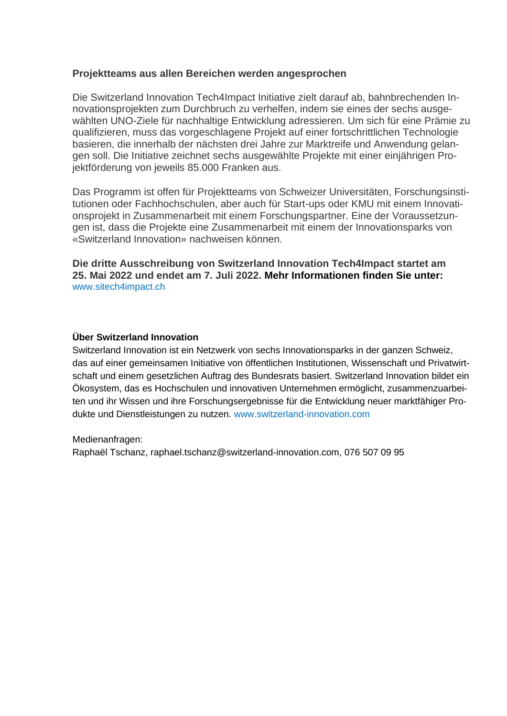#### **Projektteams aus allen Bereichen werden angesprochen**

Die Switzerland Innovation Tech4Impact Initiative zielt darauf ab, bahnbrechenden Innovationsprojekten zum Durchbruch zu verhelfen, indem sie eines der sechs ausgewählten UNO-Ziele für nachhaltige Entwicklung adressieren. Um sich für eine Prämie zu qualifizieren, muss das vorgeschlagene Projekt auf einer fortschrittlichen Technologie basieren, die innerhalb der nächsten drei Jahre zur Marktreife und Anwendung gelangen soll. Die Initiative zeichnet sechs ausgewählte Projekte mit einer einjährigen Projektförderung von jeweils 85.000 Franken aus.

Das Programm ist offen für Projektteams von Schweizer Universitäten, Forschungsinstitutionen oder Fachhochschulen, aber auch für Start-ups oder KMU mit einem Innovationsprojekt in Zusammenarbeit mit einem Forschungspartner. Eine der Voraussetzungen ist, dass die Projekte eine Zusammenarbeit mit einem der Innovationsparks von «Switzerland Innovation» nachweisen können.

**Die dritte Ausschreibung von Switzerland Innovation Tech4Impact startet am 25. Mai 2022 und endet am 7. Juli 2022. Mehr Informationen finden Sie unter:**  [www.sitech4impact.ch](http://www.sitech4impact.ch/)

#### **Über Switzerland Innovation**

Switzerland Innovation ist ein Netzwerk von sechs Innovationsparks in der ganzen Schweiz, das auf einer gemeinsamen Initiative von öffentlichen Institutionen, Wissenschaft und Privatwirtschaft und einem gesetzlichen Auftrag des Bundesrats basiert. Switzerland Innovation bildet ein Ökosystem, das es Hochschulen und innovativen Unternehmen ermöglicht, zusammenzuarbeiten und ihr Wissen und ihre Forschungsergebnisse für die Entwicklung neuer marktfähiger Produkte und Dienstleistungen zu nutzen. [www.switzerland-innovation.com](file:///C:/Users/Raphael%20Tschanz/AppData/Local/Microsoft/Windows/INetCache/Content.Outlook/www.switzerland-innovation.com)

Medienanfragen:

Raphaël Tschanz, raphael.tschanz@switzerland-innovation.com, 076 507 09 95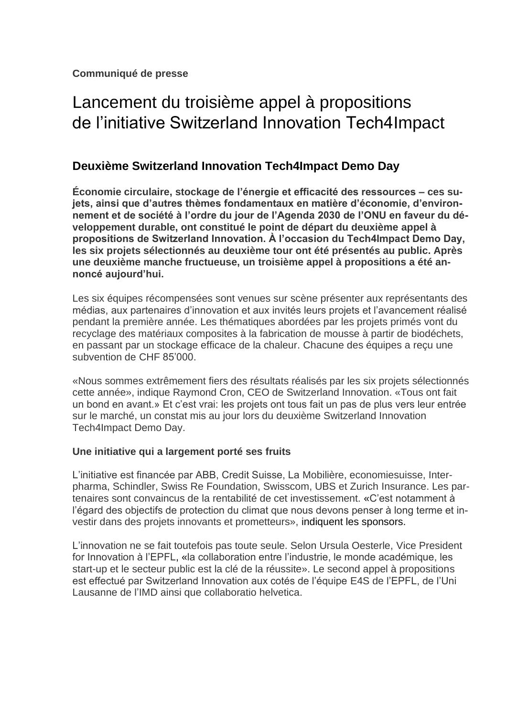# Lancement du troisième appel à propositions de l'initiative Switzerland Innovation Tech4Impact

## **Deuxième Switzerland Innovation Tech4Impact Demo Day**

**Économie circulaire, stockage de l'énergie et efficacité des ressources – ces sujets, ainsi que d'autres thèmes fondamentaux en matière d'économie, d'environnement et de société à l'ordre du jour de l'Agenda 2030 de l'ONU en faveur du développement durable, ont constitué le point de départ du deuxième appel à propositions de Switzerland Innovation. À l'occasion du Tech4Impact Demo Day, les six projets sélectionnés au deuxième tour ont été présentés au public. Après une deuxième manche fructueuse, un troisième appel à propositions a été annoncé aujourd'hui.**

Les six équipes récompensées sont venues sur scène présenter aux représentants des médias, aux partenaires d'innovation et aux invités leurs projets et l'avancement réalisé pendant la première année. Les thématiques abordées par les projets primés vont du recyclage des matériaux composites à la fabrication de mousse à partir de biodéchets, en passant par un stockage efficace de la chaleur. Chacune des équipes a reçu une subvention de CHF 85'000.

«Nous sommes extrêmement fiers des résultats réalisés par les six projets sélectionnés cette année», indique Raymond Cron, CEO de Switzerland Innovation. «Tous ont fait un bond en avant.» Et c'est vrai: les projets ont tous fait un pas de plus vers leur entrée sur le marché, un constat mis au jour lors du deuxième Switzerland Innovation Tech4Impact Demo Day.

### **Une initiative qui a largement porté ses fruits**

L'initiative est financée par ABB, Credit Suisse, La Mobilière, economiesuisse, Interpharma, Schindler, Swiss Re Foundation, Swisscom, UBS et Zurich Insurance. Les partenaires sont convaincus de la rentabilité de cet investissement. «C'est notamment à l'égard des objectifs de protection du climat que nous devons penser à long terme et investir dans des projets innovants et prometteurs», indiquent les sponsors.

L'innovation ne se fait toutefois pas toute seule. Selon Ursula Oesterle, Vice President for Innovation à l'EPFL, «la collaboration entre l'industrie, le monde académique, les start-up et le secteur public est la clé de la réussite». Le second appel à propositions est effectué par Switzerland Innovation aux cotés de l'équipe E4S de l'EPFL, de l'Uni Lausanne de l'IMD ainsi que collaboratio helvetica.